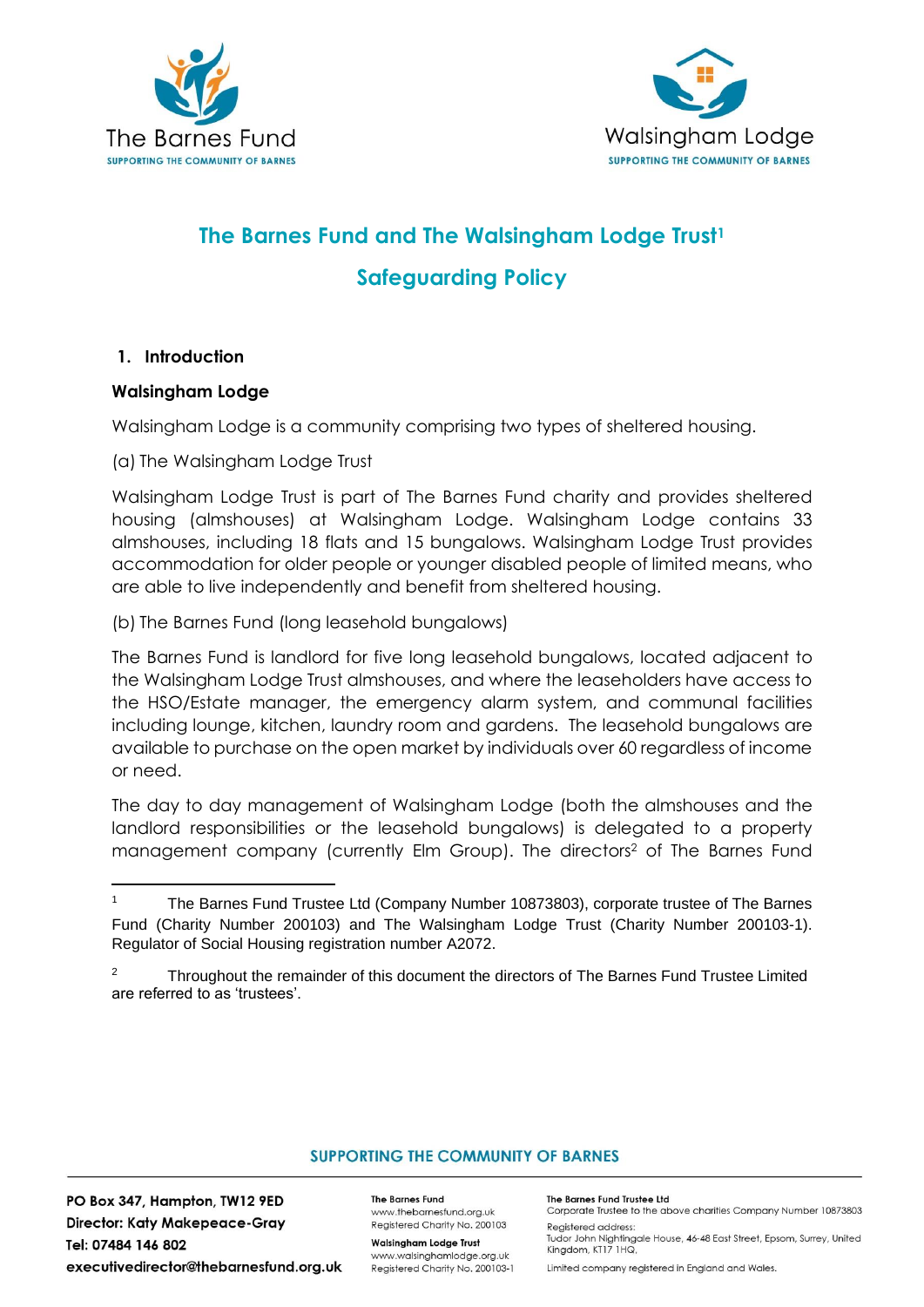



# **The Barnes Fund and The Walsingham Lodge Trust<sup>1</sup> Safeguarding Policy**

#### **1. Introduction**

#### **Walsingham Lodge**

Walsingham Lodge is a community comprising two types of sheltered housing.

(a) The Walsingham Lodge Trust

Walsingham Lodge Trust is part of The Barnes Fund charity and provides sheltered housing (almshouses) at Walsingham Lodge. Walsingham Lodge contains 33 almshouses, including 18 flats and 15 bungalows. Walsingham Lodge Trust provides accommodation for older people or younger disabled people of limited means, who are able to live independently and benefit from sheltered housing.

(b) The Barnes Fund (long leasehold bungalows)

The Barnes Fund is landlord for five long leasehold bungalows, located adjacent to the Walsingham Lodge Trust almshouses, and where the leaseholders have access to the HSO/Estate manager, the emergency alarm system, and communal facilities including lounge, kitchen, laundry room and gardens. The leasehold bungalows are available to purchase on the open market by individuals over 60 regardless of income or need.

The day to day management of Walsingham Lodge (both the almshouses and the landlord responsibilities or the leasehold bungalows) is delegated to a property management company (currently Elm Group). The directors<sup>2</sup> of The Barnes Fund

#### **SUPPORTING THE COMMUNITY OF BARNES**

PO Box 347, Hampton, TW12 9ED **Director: Katy Makepeace-Gray** Tel: 07484 146 802 executivedirector@thebarnesfund.org.uk **The Barnes Fund** www.thebarnesfund.org.uk Registered Charity No. 200103

**Walsingham Lodge Trust** www.walsinghamlodge.org.uk Registered Charity No. 200103-1 The Barnes Fund Trustee Ltd Corporate Trustee to the above charities Company Number 10873803

Registered address: Tudor John Nightingale House, 46-48 East Street, Epsom, Surrey, United Kingdom, KT17 1HQ,

Limited company registered in England and Wales.

<sup>&</sup>lt;sup>1</sup> The Barnes Fund Trustee Ltd (Company Number 10873803), corporate trustee of The Barnes Fund (Charity Number 200103) and The Walsingham Lodge Trust (Charity Number 200103-1). Regulator of Social Housing registration number A2072.

 $2 \text{ Throught}$  Throughout the remainder of this document the directors of The Barnes Fund Trustee Limited are referred to as 'trustees'.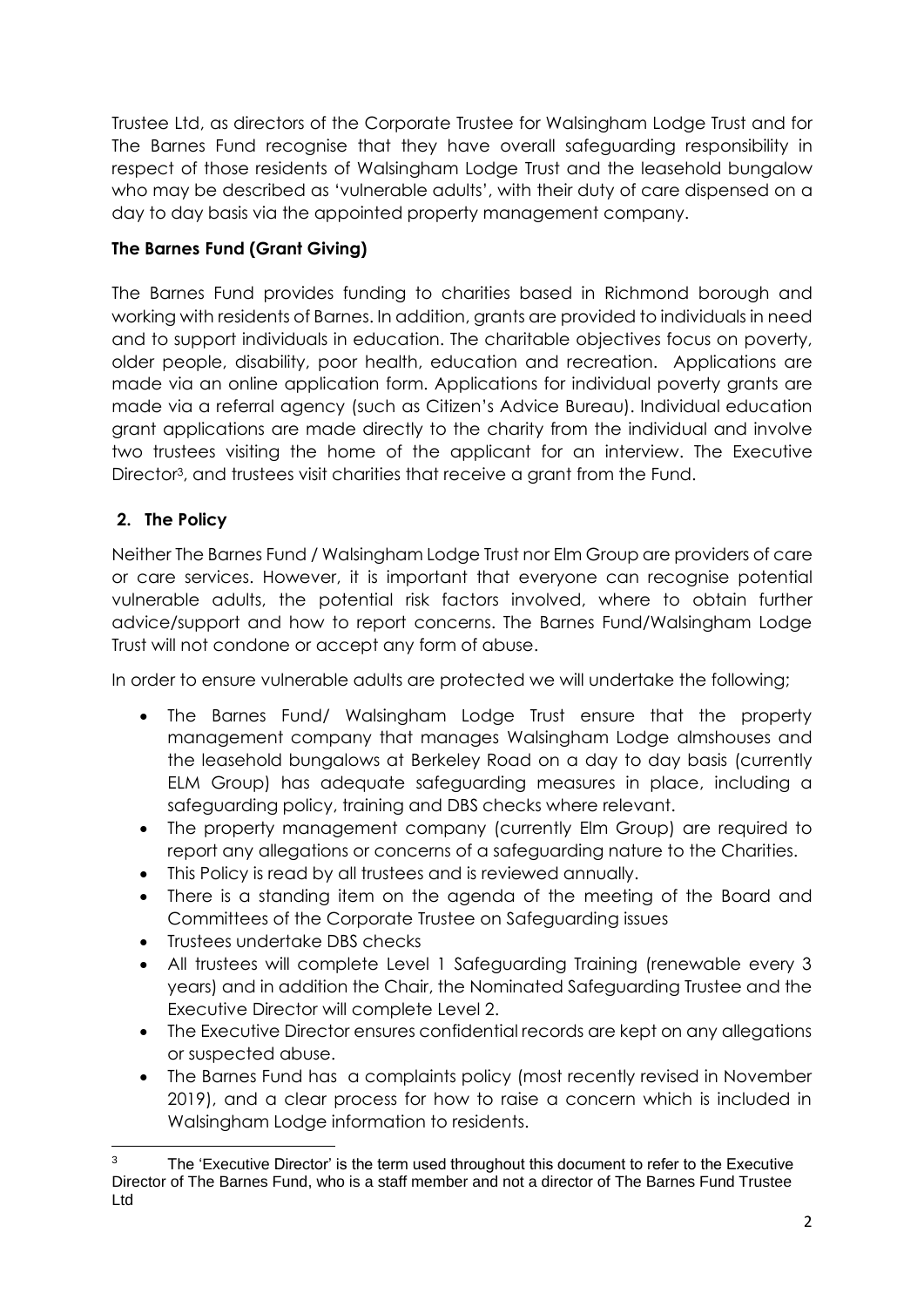Trustee Ltd, as directors of the Corporate Trustee for Walsingham Lodge Trust and for The Barnes Fund recognise that they have overall safeguarding responsibility in respect of those residents of Walsingham Lodge Trust and the leasehold bungalow who may be described as 'vulnerable adults', with their duty of care dispensed on a day to day basis via the appointed property management company.

## **The Barnes Fund (Grant Giving)**

The Barnes Fund provides funding to charities based in Richmond borough and working with residents of Barnes. In addition, grants are provided to individuals in need and to support individuals in education. The charitable objectives focus on poverty, older people, disability, poor health, education and recreation. Applications are made via an online application form. Applications for individual poverty grants are made via a referral agency (such as Citizen's Advice Bureau). Individual education grant applications are made directly to the charity from the individual and involve two trustees visiting the home of the applicant for an interview. The Executive Director<sup>3</sup>, and trustees visit charities that receive a grant from the Fund.

## **2. The Policy**

Neither The Barnes Fund / Walsingham Lodge Trust nor Elm Group are providers of care or care services. However, it is important that everyone can recognise potential vulnerable adults, the potential risk factors involved, where to obtain further advice/support and how to report concerns. The Barnes Fund/Walsingham Lodge Trust will not condone or accept any form of abuse.

In order to ensure vulnerable adults are protected we will undertake the following;

- The Barnes Fund/ Walsingham Lodge Trust ensure that the property management company that manages Walsingham Lodge almshouses and the leasehold bungalows at Berkeley Road on a day to day basis (currently ELM Group) has adequate safeguarding measures in place, including a safeguarding policy, training and DBS checks where relevant.
- The property management company (currently Elm Group) are required to report any allegations or concerns of a safeguarding nature to the Charities.
- This Policy is read by all trustees and is reviewed annually.
- There is a standing item on the agenda of the meeting of the Board and Committees of the Corporate Trustee on Safeguarding issues
- Trustees undertake DBS checks
- All trustees will complete Level 1 Safeguarding Training (renewable every 3 years) and in addition the Chair, the Nominated Safeguarding Trustee and the Executive Director will complete Level 2.
- The Executive Director ensures confidential records are kept on any allegations or suspected abuse.
- The Barnes Fund has a complaints policy (most recently revised in November 2019), and a clear process for how to raise a concern which is included in Walsingham Lodge information to residents.

 $3$  The 'Executive Director' is the term used throughout this document to refer to the Executive Director of The Barnes Fund, who is a staff member and not a director of The Barnes Fund Trustee Ltd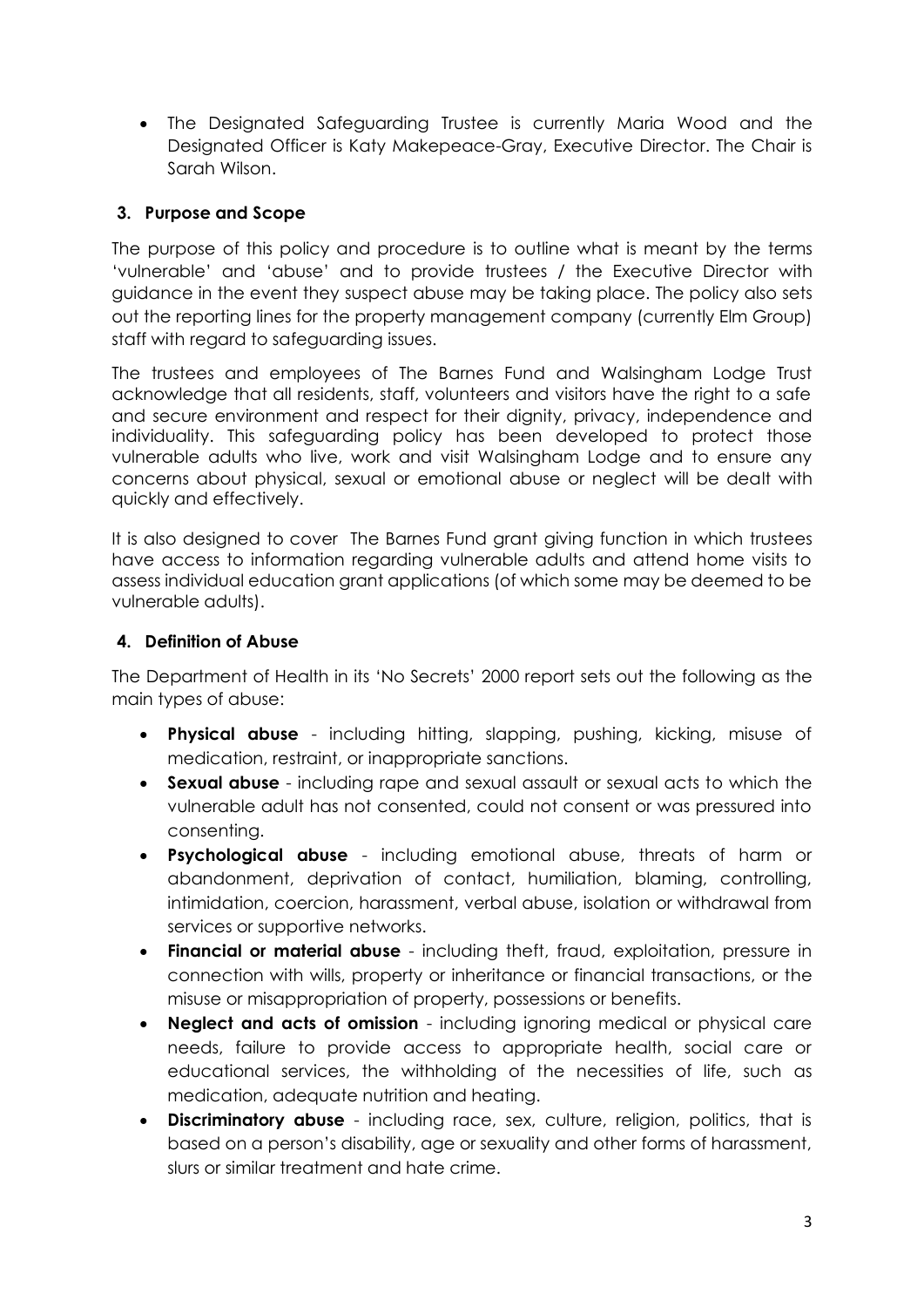• The Designated Safeguarding Trustee is currently Maria Wood and the Designated Officer is Katy Makepeace-Gray, Executive Director. The Chair is Sarah Wilson.

## **3. Purpose and Scope**

The purpose of this policy and procedure is to outline what is meant by the terms 'vulnerable' and 'abuse' and to provide trustees / the Executive Director with guidance in the event they suspect abuse may be taking place. The policy also sets out the reporting lines for the property management company (currently Elm Group) staff with regard to safeguarding issues.

The trustees and employees of The Barnes Fund and Walsingham Lodge Trust acknowledge that all residents, staff, volunteers and visitors have the right to a safe and secure environment and respect for their dignity, privacy, independence and individuality. This safeguarding policy has been developed to protect those vulnerable adults who live, work and visit Walsingham Lodge and to ensure any concerns about physical, sexual or emotional abuse or neglect will be dealt with quickly and effectively.

It is also designed to cover The Barnes Fund grant giving function in which trustees have access to information regarding vulnerable adults and attend home visits to assess individual education grant applications (of which some may be deemed to be vulnerable adults).

## **4. Definition of Abuse**

The Department of Health in its 'No Secrets' 2000 report sets out the following as the main types of abuse:

- **Physical abuse** including hitting, slapping, pushing, kicking, misuse of medication, restraint, or inappropriate sanctions.
- **Sexual abuse** including rape and sexual assault or sexual acts to which the vulnerable adult has not consented, could not consent or was pressured into consenting.
- **Psychological abuse** including emotional abuse, threats of harm or abandonment, deprivation of contact, humiliation, blaming, controlling, intimidation, coercion, harassment, verbal abuse, isolation or withdrawal from services or supportive networks.
- **Financial or material abuse** including theft, fraud, exploitation, pressure in connection with wills, property or inheritance or financial transactions, or the misuse or misappropriation of property, possessions or benefits.
- **Neglect and acts of omission** including ignoring medical or physical care needs, failure to provide access to appropriate health, social care or educational services, the withholding of the necessities of life, such as medication, adequate nutrition and heating.
- **Discriminatory abuse** including race, sex, culture, religion, politics, that is based on a person's disability, age or sexuality and other forms of harassment, slurs or similar treatment and hate crime.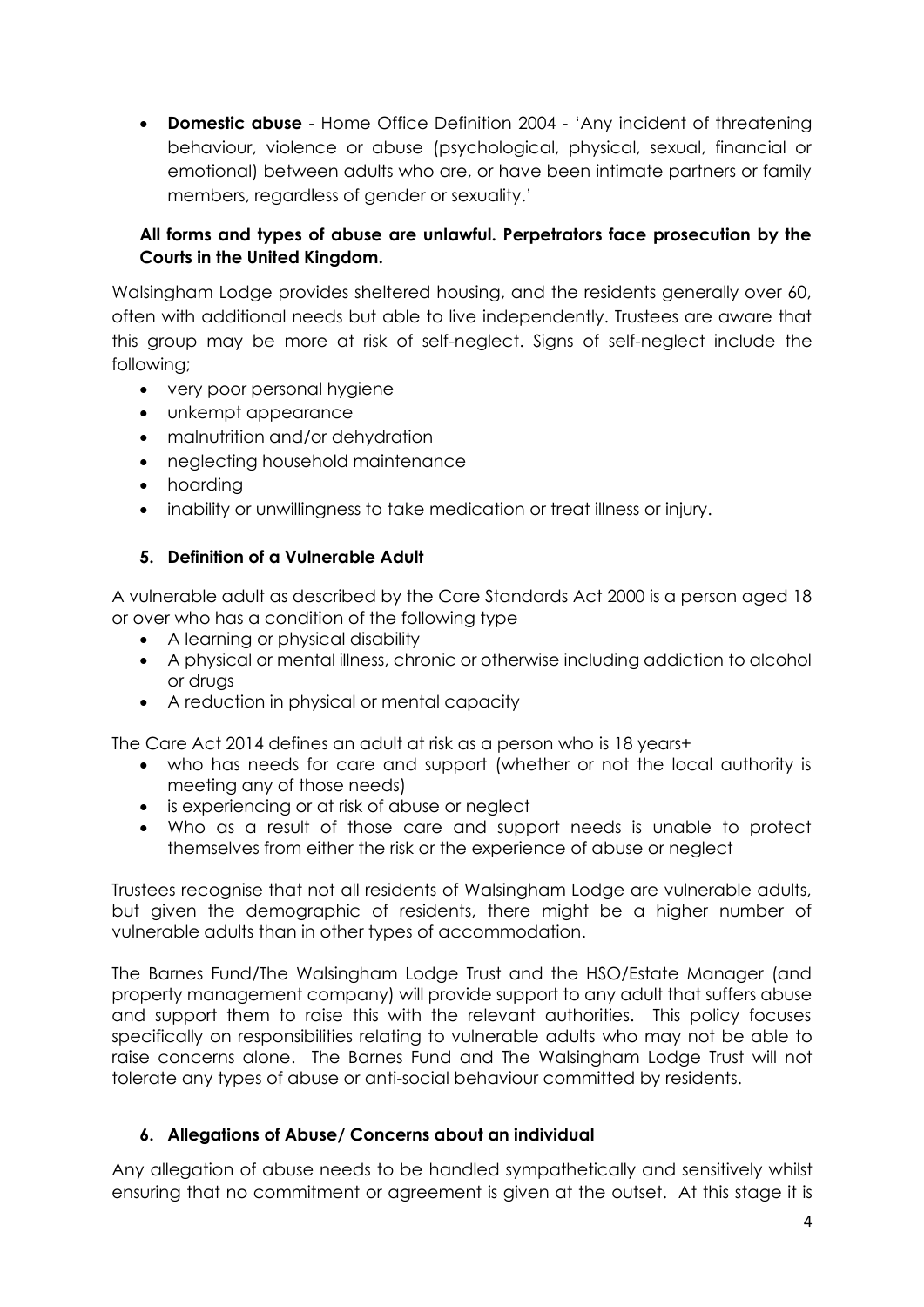• **Domestic abuse** - Home Office Definition 2004 - 'Any incident of threatening behaviour, violence or abuse (psychological, physical, sexual, financial or emotional) between adults who are, or have been intimate partners or family members, regardless of gender or sexuality.'

### **All forms and types of abuse are unlawful. Perpetrators face prosecution by the Courts in the United Kingdom.**

Walsingham Lodge provides sheltered housing, and the residents generally over 60, often with additional needs but able to live independently. Trustees are aware that this group may be more at risk of self-neglect. Signs of self-neglect include the following;

- very poor personal hygiene
- unkempt appearance
- malnutrition and/or dehydration
- neglecting household maintenance
- hoarding
- inability or unwillingness to take medication or treat illness or injury.

#### **5. Definition of a Vulnerable Adult**

A vulnerable adult as described by the Care Standards Act 2000 is a person aged 18 or over who has a condition of the following type

- A learning or physical disability
- A physical or mental illness, chronic or otherwise including addiction to alcohol or drugs
- A reduction in physical or mental capacity

The Care Act 2014 defines an adult at risk as a person who is 18 years+

- who has needs for care and support (whether or not the local authority is meeting any of those needs)
- is experiencing or at risk of abuse or neglect
- Who as a result of those care and support needs is unable to protect themselves from either the risk or the experience of abuse or neglect

Trustees recognise that not all residents of Walsingham Lodge are vulnerable adults, but given the demographic of residents, there might be a higher number of vulnerable adults than in other types of accommodation.

The Barnes Fund/The Walsingham Lodge Trust and the HSO/Estate Manager (and property management company) will provide support to any adult that suffers abuse and support them to raise this with the relevant authorities. This policy focuses specifically on responsibilities relating to vulnerable adults who may not be able to raise concerns alone. The Barnes Fund and The Walsingham Lodge Trust will not tolerate any types of abuse or anti-social behaviour committed by residents.

#### **6. Allegations of Abuse/ Concerns about an individual**

Any allegation of abuse needs to be handled sympathetically and sensitively whilst ensuring that no commitment or agreement is given at the outset. At this stage it is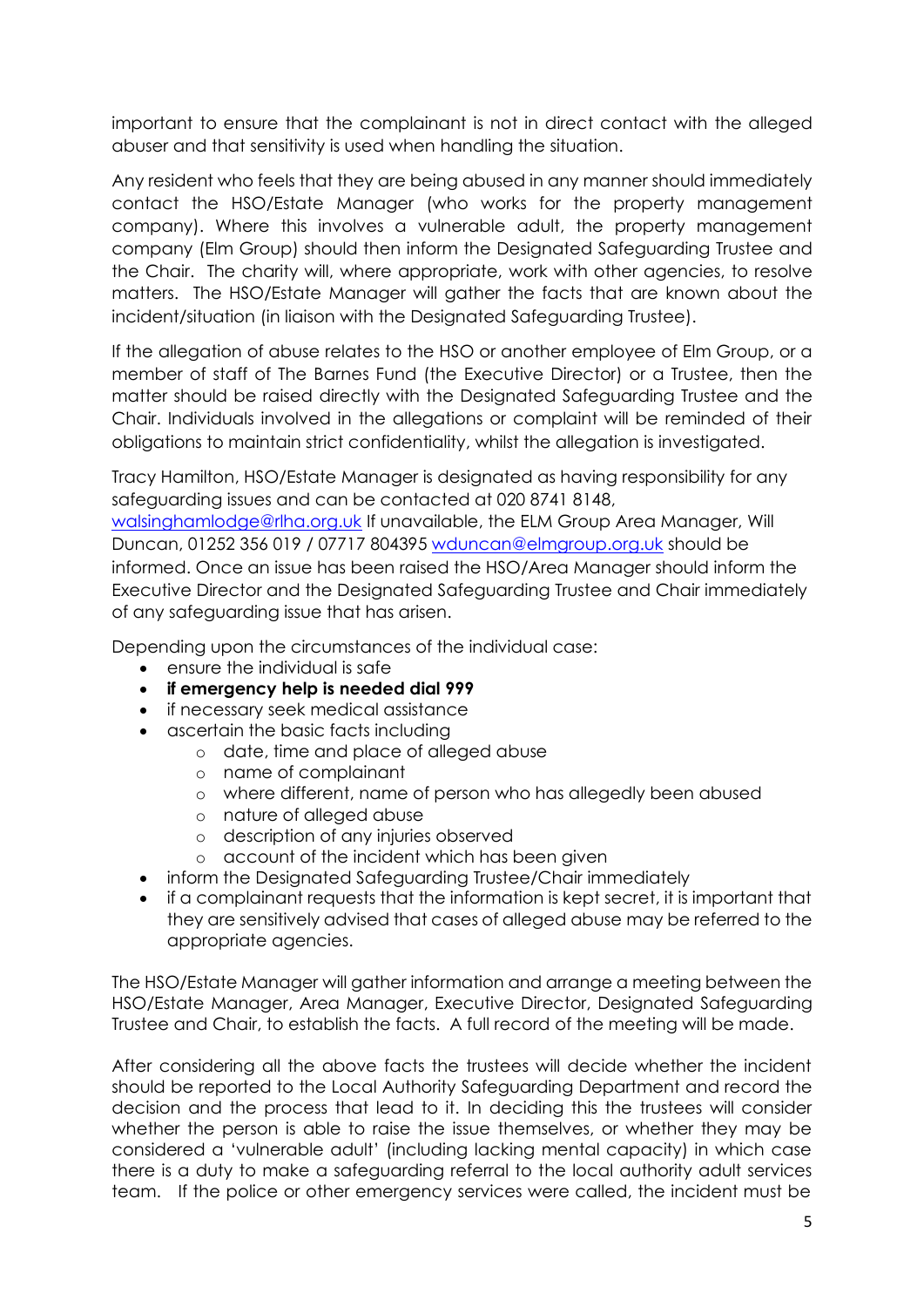important to ensure that the complainant is not in direct contact with the alleged abuser and that sensitivity is used when handling the situation.

Any resident who feels that they are being abused in any manner should immediately contact the HSO/Estate Manager (who works for the property management company). Where this involves a vulnerable adult, the property management company (Elm Group) should then inform the Designated Safeguarding Trustee and the Chair. The charity will, where appropriate, work with other agencies, to resolve matters. The HSO/Estate Manager will gather the facts that are known about the incident/situation (in liaison with the Designated Safeguarding Trustee).

If the allegation of abuse relates to the HSO or another employee of Elm Group, or a member of staff of The Barnes Fund (the Executive Director) or a Trustee, then the matter should be raised directly with the Designated Safeguarding Trustee and the Chair. Individuals involved in the allegations or complaint will be reminded of their obligations to maintain strict confidentiality, whilst the allegation is investigated.

Tracy Hamilton, HSO/Estate Manager is designated as having responsibility for any safeguarding issues and can be contacted at 020 8741 8148, [walsinghamlodge@rlha.org.uk](mailto:walsinghamlodge@rlha.org.uk) If unavailable, the ELM Group Area Manager, Will Duncan, 01252 356 019 / 07717 804395 [wduncan@elmgroup.org.uk](mailto:wduncan@elmgroup.org.uk) should be informed. Once an issue has been raised the HSO/Area Manager should inform the Executive Director and the Designated Safeguarding Trustee and Chair immediately of any safeguarding issue that has arisen.

Depending upon the circumstances of the individual case:

- ensure the individual is safe
- **if emergency help is needed dial 999**
- if necessary seek medical assistance
- ascertain the basic facts including
	- o date, time and place of alleged abuse
	- o name of complainant
	- o where different, name of person who has allegedly been abused
	- o nature of alleged abuse
	- o description of any injuries observed
	- o account of the incident which has been given
- inform the Designated Safeguarding Trustee/Chair immediately
- if a complainant requests that the information is kept secret, it is important that they are sensitively advised that cases of alleged abuse may be referred to the appropriate agencies.

The HSO/Estate Manager will gather information and arrange a meeting between the HSO/Estate Manager, Area Manager, Executive Director, Designated Safeguarding Trustee and Chair, to establish the facts. A full record of the meeting will be made.

After considering all the above facts the trustees will decide whether the incident should be reported to the Local Authority Safeguarding Department and record the decision and the process that lead to it. In deciding this the trustees will consider whether the person is able to raise the issue themselves, or whether they may be considered a 'vulnerable adult' (including lacking mental capacity) in which case there is a duty to make a safeguarding referral to the local authority adult services team. If the police or other emergency services were called, the incident must be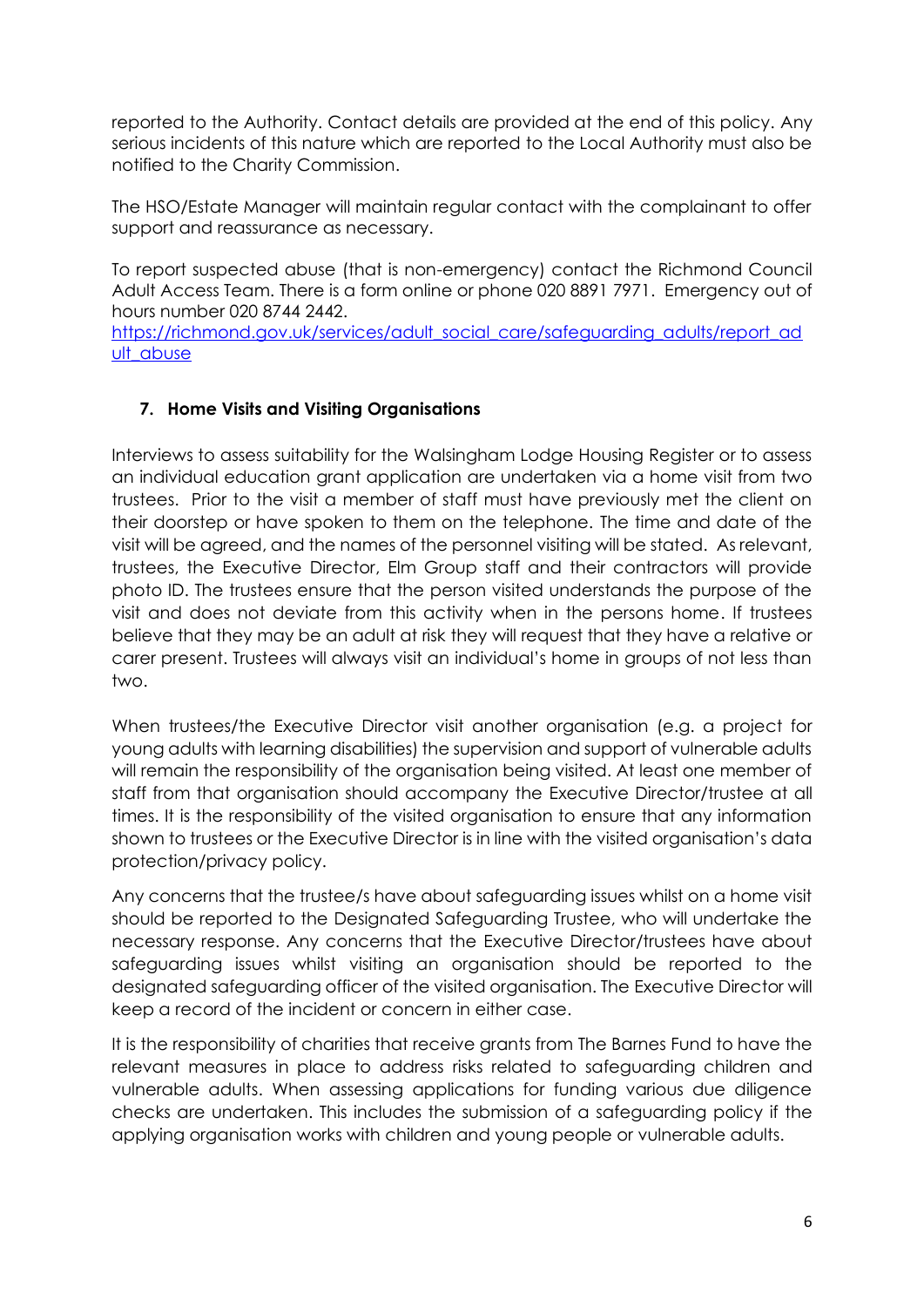reported to the Authority. Contact details are provided at the end of this policy. Any serious incidents of this nature which are reported to the Local Authority must also be notified to the Charity Commission.

The HSO/Estate Manager will maintain regular contact with the complainant to offer support and reassurance as necessary.

To report suspected abuse (that is non-emergency) contact the Richmond Council Adult Access Team. There is a form online or phone 020 8891 7971. Emergency out of hours number 020 8744 2442.

[https://richmond.gov.uk/services/adult\\_social\\_care/safeguarding\\_adults/report\\_ad](https://richmond.gov.uk/services/adult_social_care/safeguarding_adults/report_adult_abuse) [ult\\_abuse](https://richmond.gov.uk/services/adult_social_care/safeguarding_adults/report_adult_abuse)

#### **7. Home Visits and Visiting Organisations**

Interviews to assess suitability for the Walsingham Lodge Housing Register or to assess an individual education grant application are undertaken via a home visit from two trustees. Prior to the visit a member of staff must have previously met the client on their doorstep or have spoken to them on the telephone. The time and date of the visit will be agreed, and the names of the personnel visiting will be stated. As relevant, trustees, the Executive Director, Elm Group staff and their contractors will provide photo ID. The trustees ensure that the person visited understands the purpose of the visit and does not deviate from this activity when in the persons home. If trustees believe that they may be an adult at risk they will request that they have a relative or carer present. Trustees will always visit an individual's home in groups of not less than two.

When trustees/the Executive Director visit another organisation (e.g. a project for young adults with learning disabilities) the supervision and support of vulnerable adults will remain the responsibility of the organisation being visited. At least one member of staff from that organisation should accompany the Executive Director/trustee at all times. It is the responsibility of the visited organisation to ensure that any information shown to trustees or the Executive Director is in line with the visited organisation's data protection/privacy policy.

Any concerns that the trustee/s have about safeguarding issues whilst on a home visit should be reported to the Designated Safeguarding Trustee, who will undertake the necessary response. Any concerns that the Executive Director/trustees have about safeguarding issues whilst visiting an organisation should be reported to the designated safeguarding officer of the visited organisation. The Executive Director will keep a record of the incident or concern in either case.

It is the responsibility of charities that receive grants from The Barnes Fund to have the relevant measures in place to address risks related to safeguarding children and vulnerable adults. When assessing applications for funding various due diligence checks are undertaken. This includes the submission of a safeguarding policy if the applying organisation works with children and young people or vulnerable adults.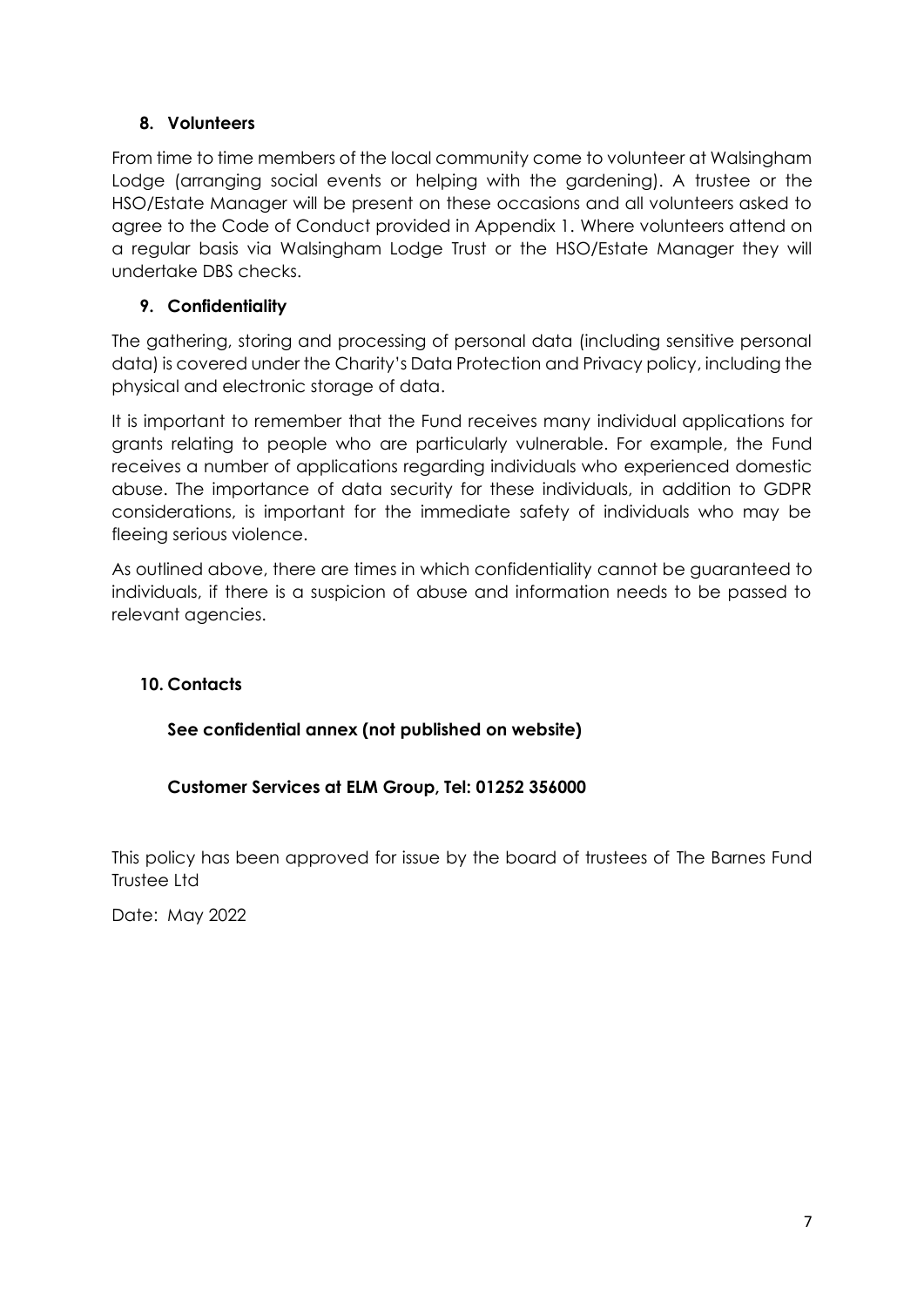## **8. Volunteers**

From time to time members of the local community come to volunteer at Walsingham Lodge (arranging social events or helping with the gardening). A trustee or the HSO/Estate Manager will be present on these occasions and all volunteers asked to agree to the Code of Conduct provided in Appendix 1. Where volunteers attend on a regular basis via Walsingham Lodge Trust or the HSO/Estate Manager they will undertake DBS checks.

## **9. Confidentiality**

The gathering, storing and processing of personal data (including sensitive personal data) is covered under the Charity's Data Protection and Privacy policy, including the physical and electronic storage of data.

It is important to remember that the Fund receives many individual applications for grants relating to people who are particularly vulnerable. For example, the Fund receives a number of applications regarding individuals who experienced domestic abuse. The importance of data security for these individuals, in addition to GDPR considerations, is important for the immediate safety of individuals who may be fleeing serious violence.

As outlined above, there are times in which confidentiality cannot be guaranteed to individuals, if there is a suspicion of abuse and information needs to be passed to relevant agencies.

## **10. Contacts**

**See confidential annex (not published on website)**

## **Customer Services at ELM Group, Tel: 01252 356000**

This policy has been approved for issue by the board of trustees of The Barnes Fund Trustee Ltd

Date: May 2022